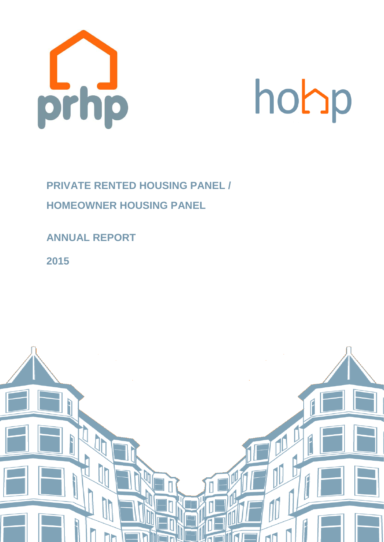

# hohp

## **PRIVATE RENTED HOUSING PANEL / HOMEOWNER HOUSING PANEL**

## **ANNUAL REPORT**

**2015**

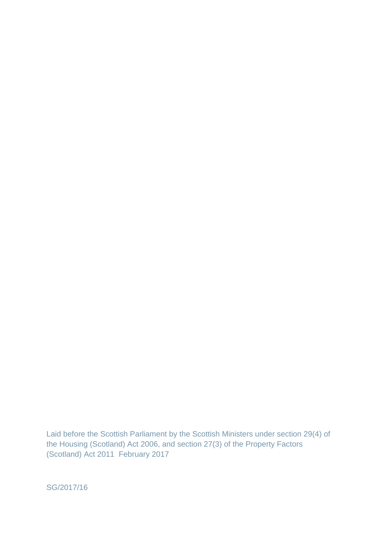Laid before the Scottish Parliament by the Scottish Ministers under section 29(4) of the Housing (Scotland) Act 2006, and section 27(3) of the Property Factors (Scotland) Act 2011 February 2017

SG/2017/16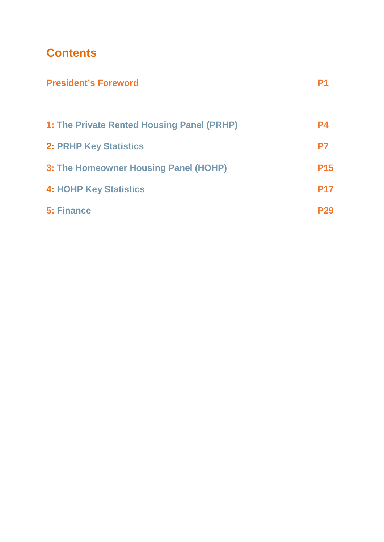## **Contents**

| <b>President's Foreword</b>                       |            |
|---------------------------------------------------|------------|
| <b>1: The Private Rented Housing Panel (PRHP)</b> | <b>P4</b>  |
| <b>2: PRHP Key Statistics</b>                     | P7         |
| 3: The Homeowner Housing Panel (HOHP)             | <b>P15</b> |
| <b>4: HOHP Key Statistics</b>                     | <b>P17</b> |
| <b>5: Finance</b>                                 | P29        |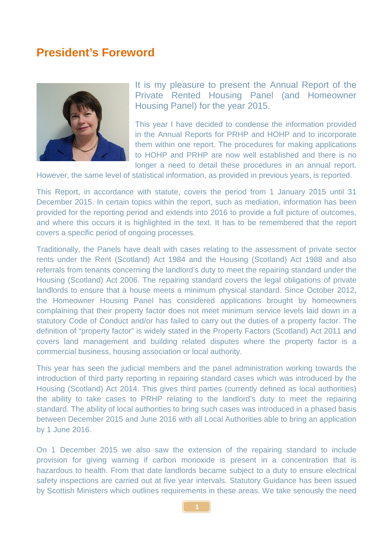#### **President's Foreword**



It is my pleasure to present the Annual Report of the Private Rented Housing Panel (and Homeowner Housing Panel) for the year 2015.

This year I have decided to condense the information provided in the Annual Reports for PRHP and HOHP and to incorporate them within one report. The procedures for making applications to HOHP and PRHP are now well established and there is no longer a need to detail these procedures in an annual report.

However, the same level of statistical information, as provided in previous years, is reported.

This Report, in accordance with statute, covers the period from 1 January 2015 until 31 December 2015. In certain topics within the report, such as mediation, information has been provided for the reporting period and extends into 2016 to provide a full picture of outcomes, and where this occurs it is highlighted in the text. It has to be remembered that the report covers a specific period of ongoing processes.

Traditionally, the Panels have dealt with cases relating to the assessment of private sector rents under the Rent (Scotland) Act 1984 and the Housing (Scotland) Act 1988 and also referrals from tenants concerning the landlord's duty to meet the repairing standard under the Housing (Scotland) Act 2006. The repairing standard covers the legal obligations of private landlords to ensure that a house meets a minimum physical standard. Since October 2012, the Homeowner Housing Panel has considered applications brought by homeowners complaining that their property factor does not meet minimum service levels laid down in a statutory Code of Conduct and/or has failed to carry out the duties of a property factor. The definition of "property factor" is widely stated in the Property Factors (Scotland) Act 2011 and covers land management and building related disputes where the property factor is a commercial business, housing association or local authority.

This year has seen the judicial members and the panel administration working towards the introduction of third party reporting in repairing standard cases which was introduced by the Housing (Scotland) Act 2014. This gives third parties (currently defined as local authorities) the ability to take cases to PRHP relating to the landlord's duty to meet the repairing standard. The ability of local authorities to bring such cases was introduced in a phased basis between December 2015 and June 2016 with all Local Authorities able to bring an application by 1 June 2016.

On 1 December 2015 we also saw the extension of the repairing standard to include provision for giving warning if carbon monoxide is present in a concentration that is hazardous to health. From that date landlords became subject to a duty to ensure electrical safety inspections are carried out at five year intervals. Statutory Guidance has been issued by Scottish Ministers which outlines requirements in these areas. We take seriously the need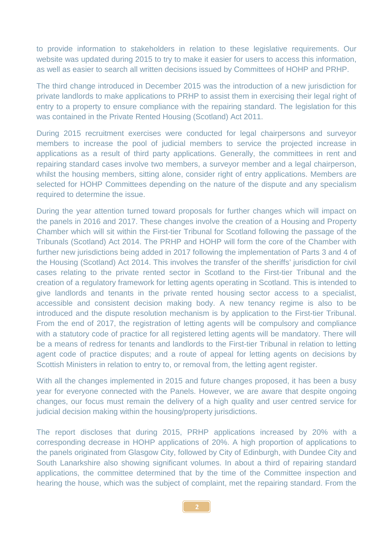to provide information to stakeholders in relation to these legislative requirements. Our website was updated during 2015 to try to make it easier for users to access this information, as well as easier to search all written decisions issued by Committees of HOHP and PRHP.

The third change introduced in December 2015 was the introduction of a new jurisdiction for private landlords to make applications to PRHP to assist them in exercising their legal right of entry to a property to ensure compliance with the repairing standard. The legislation for this was contained in the Private Rented Housing (Scotland) Act 2011.

During 2015 recruitment exercises were conducted for legal chairpersons and surveyor members to increase the pool of judicial members to service the projected increase in applications as a result of third party applications. Generally, the committees in rent and repairing standard cases involve two members, a surveyor member and a legal chairperson, whilst the housing members, sitting alone, consider right of entry applications. Members are selected for HOHP Committees depending on the nature of the dispute and any specialism required to determine the issue.

During the year attention turned toward proposals for further changes which will impact on the panels in 2016 and 2017. These changes involve the creation of a Housing and Property Chamber which will sit within the First-tier Tribunal for Scotland following the passage of the Tribunals (Scotland) Act 2014. The PRHP and HOHP will form the core of the Chamber with further new jurisdictions being added in 2017 following the implementation of Parts 3 and 4 of the Housing (Scotland) Act 2014. This involves the transfer of the sheriffs' jurisdiction for civil cases relating to the private rented sector in Scotland to the First-tier Tribunal and the creation of a regulatory framework for letting agents operating in Scotland. This is intended to give landlords and tenants in the private rented housing sector access to a specialist, accessible and consistent decision making body. A new tenancy regime is also to be introduced and the dispute resolution mechanism is by application to the First-tier Tribunal. From the end of 2017, the registration of letting agents will be compulsory and compliance with a statutory code of practice for all registered letting agents will be mandatory. There will be a means of redress for tenants and landlords to the First-tier Tribunal in relation to letting agent code of practice disputes; and a route of appeal for letting agents on decisions by Scottish Ministers in relation to entry to, or removal from, the letting agent register.

With all the changes implemented in 2015 and future changes proposed, it has been a busy year for everyone connected with the Panels. However, we are aware that despite ongoing changes, our focus must remain the delivery of a high quality and user centred service for judicial decision making within the housing/property jurisdictions.

The report discloses that during 2015, PRHP applications increased by 20% with a corresponding decrease in HOHP applications of 20%. A high proportion of applications to the panels originated from Glasgow City, followed by City of Edinburgh, with Dundee City and South Lanarkshire also showing significant volumes. In about a third of repairing standard applications, the committee determined that by the time of the Committee inspection and hearing the house, which was the subject of complaint, met the repairing standard. From the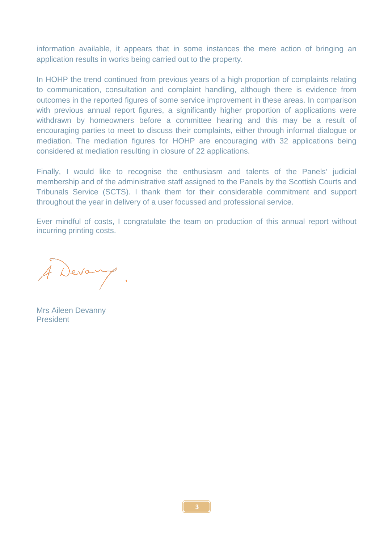information available, it appears that in some instances the mere action of bringing an application results in works being carried out to the property.

In HOHP the trend continued from previous years of a high proportion of complaints relating to communication, consultation and complaint handling, although there is evidence from outcomes in the reported figures of some service improvement in these areas. In comparison with previous annual report figures, a significantly higher proportion of applications were withdrawn by homeowners before a committee hearing and this may be a result of encouraging parties to meet to discuss their complaints, either through informal dialogue or mediation. The mediation figures for HOHP are encouraging with 32 applications being considered at mediation resulting in closure of 22 applications.

Finally, I would like to recognise the enthusiasm and talents of the Panels' judicial membership and of the administrative staff assigned to the Panels by the Scottish Courts and Tribunals Service (SCTS). I thank them for their considerable commitment and support throughout the year in delivery of a user focussed and professional service.

Ever mindful of costs, I congratulate the team on production of this annual report without incurring printing costs.

Devang.

Mrs Aileen Devanny President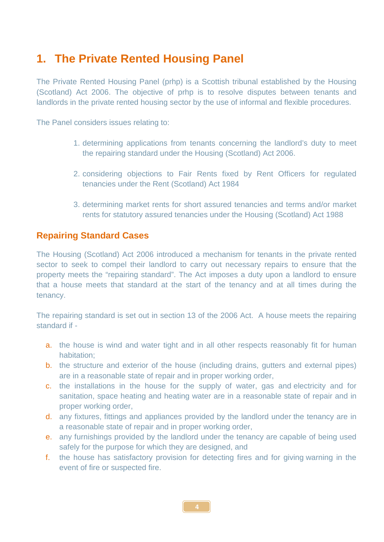## **1. The Private Rented Housing Panel**

The Private Rented Housing Panel (prhp) is a Scottish tribunal established by the Housing (Scotland) Act 2006. The objective of prhp is to resolve disputes between tenants and landlords in the private rented housing sector by the use of informal and flexible procedures.

The Panel considers issues relating to:

- 1. determining applications from tenants concerning the landlord's duty to meet the repairing standard under the Housing (Scotland) Act 2006.
- 2. considering objections to Fair Rents fixed by Rent Officers for regulated tenancies under the Rent (Scotland) Act 1984
- 3. determining market rents for short assured tenancies and terms and/or market rents for statutory assured tenancies under the Housing (Scotland) Act 1988

#### **Repairing Standard Cases**

The Housing (Scotland) Act 2006 introduced a mechanism for tenants in the private rented sector to seek to compel their landlord to carry out necessary repairs to ensure that the property meets the "repairing standard". The Act imposes a duty upon a landlord to ensure that a house meets that standard at the start of the tenancy and at all times during the tenancy.

The repairing standard is set out in section 13 of the 2006 Act. A house meets the repairing standard if -

- a. the house is wind and water tight and in all other respects reasonably fit for human habitation;
- b. the structure and exterior of the house (including drains, gutters and external pipes) are in a reasonable state of repair and in proper working order,
- c. the installations in the house for the supply of water, gas and electricity and for sanitation, space heating and heating water are in a reasonable state of repair and in proper working order,
- d. any fixtures, fittings and appliances provided by the landlord under the tenancy are in a reasonable state of repair and in proper working order,
- e. any furnishings provided by the landlord under the tenancy are capable of being used safely for the purpose for which they are designed, and
- f. the house has [satisfactory provision](http://www.edinburgh.gov.uk/internet/Housing/Private_tenants_and_home_owners/Letwise/CEC_frequently_asked_questions_-_safety,_inspections,_antisocial_behaviour) for detecting fires and for giving warning in the event of fire or suspected fire.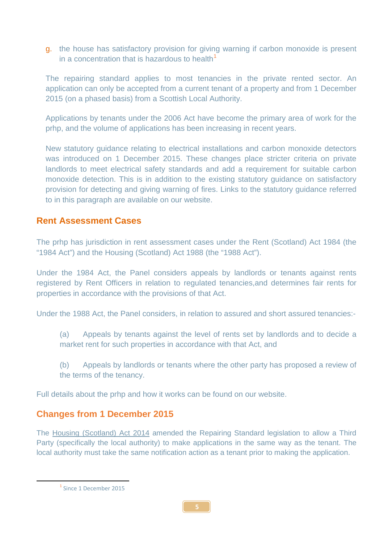g. the house has satisfactory provision for giving warning if carbon monoxide is present in a concentration that is hazardous to health<sup>[1](#page-7-0)</sup>

The repairing standard applies to most tenancies in the private rented sector. An application can only be accepted from a current tenant of a property and from 1 December 2015 (on a phased basis) from a Scottish Local Authority.

Applications by tenants under the 2006 Act have become the primary area of work for the prhp, and the volume of applications has been increasing in recent years.

New statutory guidance relating to electrical installations and carbon monoxide detectors was introduced on 1 December 2015. These changes place stricter criteria on private landlords to meet electrical safety standards and add a requirement for suitable carbon monoxide detection. This is in addition to the existing statutory guidance on satisfactory provision for detecting and giving warning of fires. Links to the statutory guidance referred to in this paragraph are available on our website.

#### **Rent Assessment Cases**

The prhp has jurisdiction in rent assessment cases under the Rent (Scotland) Act 1984 (the "1984 Act") and the Housing (Scotland) Act 1988 (the "1988 Act").

Under the 1984 Act, the Panel considers appeals by landlords or tenants against rents registered by Rent Officers in relation to regulated tenancies,and determines fair rents for properties in accordance with the provisions of that Act.

Under the 1988 Act, the Panel considers, in relation to assured and short assured tenancies:-

- (a) Appeals by tenants against the level of rents set by landlords and to decide a market rent for such properties in accordance with that Act, and
- (b) Appeals by landlords or tenants where the other party has proposed a review of the terms of the tenancy.

Full details about the prhp and how it works can be found on our website.

#### **Changes from 1 December 2015**

The [Housing \(Scotland\) Act 2014](http://www.legislation.gov.uk/asp/2014/14/part/3/crossheading/enforcement-of-repairing-standard/enacted) amended the Repairing Standard legislation to allow a Third Party (specifically the local authority) to make applications in the same way as the tenant. The local authority must take the same notification action as a tenant prior to making the application.

<span id="page-7-0"></span>**.** 

<sup>1</sup> Since 1 December 2015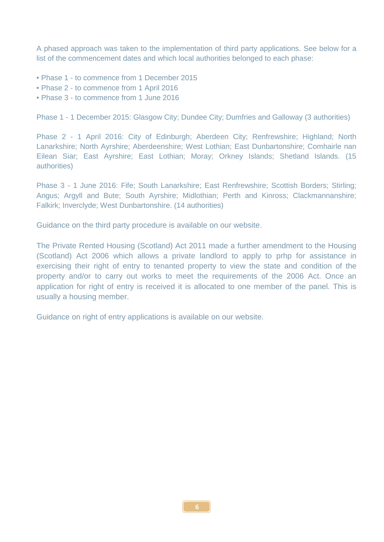A phased approach was taken to the implementation of third party applications. See below for a list of the commencement dates and which local authorities belonged to each phase:

- Phase 1 to commence from 1 December 2015
- Phase 2 to commence from 1 April 2016
- Phase 3 to commence from 1 June 2016

Phase 1 - 1 December 2015: Glasgow City; Dundee City; Dumfries and Galloway (3 authorities)

Phase 2 - 1 April 2016: City of Edinburgh; Aberdeen City; Renfrewshire; Highland; North Lanarkshire; North Ayrshire; Aberdeenshire; West Lothian; East Dunbartonshire; Comhairle nan Eilean Siar; East Ayrshire; East Lothian; Moray; Orkney Islands; Shetland Islands. (15 authorities)

Phase 3 - 1 June 2016: Fife; South Lanarkshire; East Renfrewshire; Scottish Borders; Stirling; Angus; Argyll and Bute; South Ayrshire; Midlothian; Perth and Kinross; Clackmannanshire; Falkirk; Inverclyde; West Dunbartonshire. (14 authorities)

Guidance on the third party procedure is available on our website.

The Private Rented Housing (Scotland) Act 2011 made a further amendment to the Housing (Scotland) Act 2006 which allows a private landlord to apply to prhp for assistance in exercising their right of entry to tenanted property to view the state and condition of the property and/or to carry out works to meet the requirements of the 2006 Act. Once an application for right of entry is received it is allocated to one member of the panel. This is usually a housing member.

Guidance on right of entry applications is available on our website.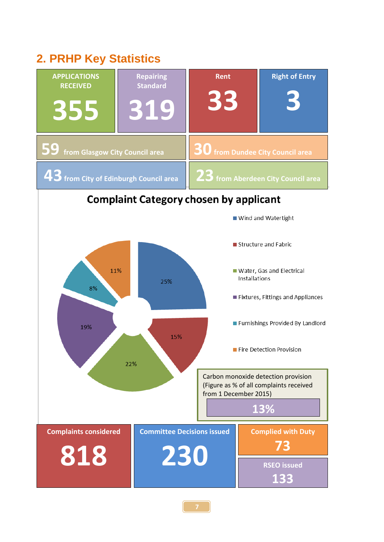## **2. PRHP Key Statistics**

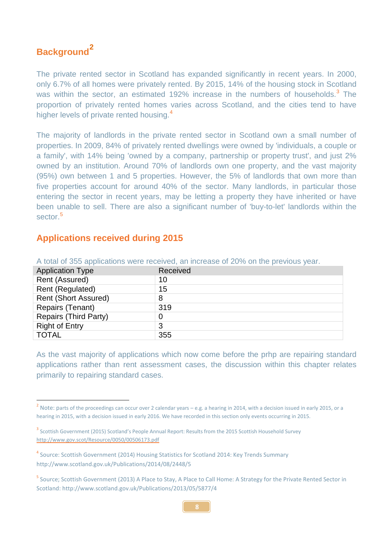## **Background[2](#page-10-0)**

**.** 

The private rented sector in Scotland has expanded significantly in recent years. In 2000, only 6.7% of all homes were privately rented. By 2015, 14% of the housing stock in Scotland was within the sector, an estimated 192% increase in the numbers of households.<sup>[3](#page-10-1)</sup> The proportion of privately rented homes varies across Scotland, and the cities tend to have higher levels of private rented housing.<sup>[4](#page-10-2)</sup>

The majority of landlords in the private rented sector in Scotland own a small number of properties. In 2009, 84% of privately rented dwellings were owned by 'individuals, a couple or a family', with 14% being 'owned by a company, partnership or property trust', and just 2% owned by an institution. Around 70% of landlords own one property, and the vast majority (95%) own between 1 and 5 properties. However, the 5% of landlords that own more than five properties account for around 40% of the sector. Many landlords, in particular those entering the sector in recent years, may be letting a property they have inherited or have been unable to sell. There are also a significant number of 'buy-to-let' landlords within the sector<sup>[5](#page-10-3)</sup>

#### **Applications received during 2015**

| <b>Application Type</b>      | Received |  |
|------------------------------|----------|--|
| Rent (Assured)               | 10       |  |
| Rent (Regulated)             | 15       |  |
| <b>Rent (Short Assured)</b>  | 8        |  |
| Repairs (Tenant)             | 319      |  |
| <b>Repairs (Third Party)</b> | 0        |  |
| <b>Right of Entry</b>        | 3        |  |
| <b>TOTAL</b>                 | 355      |  |

A total of 355 applications were received, an increase of 20% on the previous year.

As the vast majority of applications which now come before the prhp are repairing standard applications rather than rent assessment cases, the discussion within this chapter relates primarily to repairing standard cases.

<span id="page-10-0"></span><sup>&</sup>lt;sup>2</sup> Note: parts of the proceedings can occur over 2 calendar years – e.g. a hearing in 2014, with a decision issued in early 2015, or a hearing in 2015, with a decision issued in early 2016. We have recorded in this section only events occurring in 2015.

<span id="page-10-1"></span><sup>&</sup>lt;sup>3</sup> Scottish Government (2015) Scotland's People Annual Report: Results from the 2015 Scottish Household Survey <http://www.gov.scot/Resource/0050/00506173.pdf>

<span id="page-10-2"></span><sup>4</sup> Source: Scottish Government (2014) Housing Statistics for Scotland 2014: Key Trends Summary http://www.scotland.gov.uk/Publications/2014/08/2448/5

<span id="page-10-3"></span><sup>5</sup> Source; Scottish Government (2013) A Place to Stay, A Place to Call Home: A Strategy for the Private Rented Sector in Scotland: http://www.scotland.gov.uk/Publications/2013/05/5877/4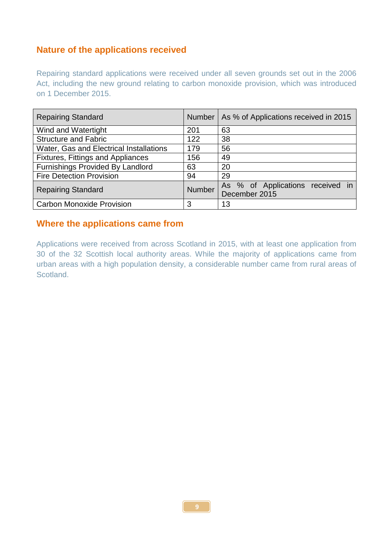#### **Nature of the applications received**

Repairing standard applications were received under all seven grounds set out in the 2006 Act, including the new ground relating to carbon monoxide provision, which was introduced on 1 December 2015.

| <b>Repairing Standard</b>               | <b>Number</b> | As % of Applications received in 2015             |
|-----------------------------------------|---------------|---------------------------------------------------|
| Wind and Watertight                     | 201           | 63                                                |
| <b>Structure and Fabric</b>             | 122           | 38                                                |
| Water, Gas and Electrical Installations | 179           | 56                                                |
| Fixtures, Fittings and Appliances       | 156           | 49                                                |
| <b>Furnishings Provided By Landlord</b> | 63            | 20                                                |
| <b>Fire Detection Provision</b>         | 94            | 29                                                |
| <b>Repairing Standard</b>               | <b>Number</b> | As % of Applications received in<br>December 2015 |
| <b>Carbon Monoxide Provision</b>        | 3             | 13                                                |

#### **Where the applications came from**

Applications were received from across Scotland in 2015, with at least one application from 30 of the 32 Scottish local authority areas. While the majority of applications came from urban areas with a high population density, a considerable number came from rural areas of Scotland.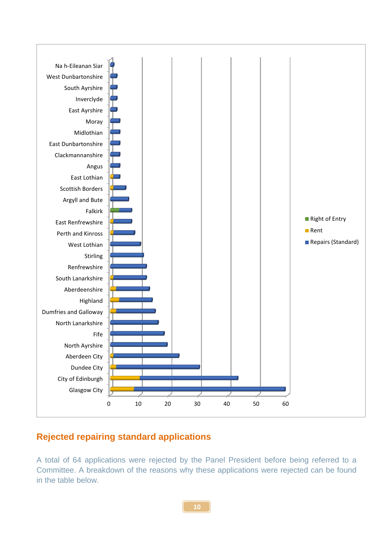

#### **Rejected repairing standard applications**

A total of 64 applications were rejected by the Panel President before being referred to a Committee. A breakdown of the reasons why these applications were rejected can be found in the table below.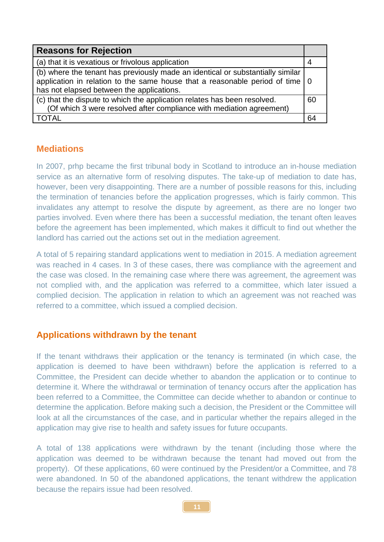| <b>Reasons for Rejection</b>                                                                                                                                                                                                |    |
|-----------------------------------------------------------------------------------------------------------------------------------------------------------------------------------------------------------------------------|----|
| (a) that it is vexatious or frivolous application                                                                                                                                                                           |    |
| (b) where the tenant has previously made an identical or substantially similar<br>application in relation to the same house that a reasonable period of time $\vert 0 \rangle$<br>has not elapsed between the applications. |    |
| (c) that the dispute to which the application relates has been resolved.<br>(Of which 3 were resolved after compliance with mediation agreement)                                                                            | 60 |
| TOTAI                                                                                                                                                                                                                       | 64 |

#### **Mediations**

In 2007, prhp became the first tribunal body in Scotland to introduce an in-house mediation service as an alternative form of resolving disputes. The take-up of mediation to date has, however, been very disappointing. There are a number of possible reasons for this, including the termination of tenancies before the application progresses, which is fairly common. This invalidates any attempt to resolve the dispute by agreement, as there are no longer two parties involved. Even where there has been a successful mediation, the tenant often leaves before the agreement has been implemented, which makes it difficult to find out whether the landlord has carried out the actions set out in the mediation agreement.

A total of 5 repairing standard applications went to mediation in 2015. A mediation agreement was reached in 4 cases. In 3 of these cases, there was compliance with the agreement and the case was closed. In the remaining case where there was agreement, the agreement was not complied with, and the application was referred to a committee, which later issued a complied decision. The application in relation to which an agreement was not reached was referred to a committee, which issued a complied decision.

#### **Applications withdrawn by the tenant**

If the tenant withdraws their application or the tenancy is terminated (in which case, the application is deemed to have been withdrawn) before the application is referred to a Committee, the President can decide whether to abandon the application or to continue to determine it. Where the withdrawal or termination of tenancy occurs after the application has been referred to a Committee, the Committee can decide whether to abandon or continue to determine the application. Before making such a decision, the President or the Committee will look at all the circumstances of the case, and in particular whether the repairs alleged in the application may give rise to health and safety issues for future occupants.

A total of 138 applications were withdrawn by the tenant (including those where the application was deemed to be withdrawn because the tenant had moved out from the property). Of these applications, 60 were continued by the President/or a Committee, and 78 were abandoned. In 50 of the abandoned applications, the tenant withdrew the application because the repairs issue had been resolved.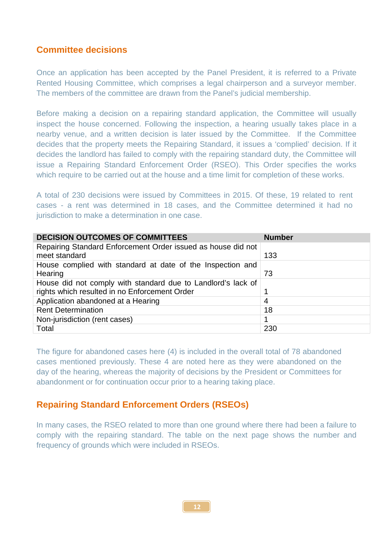#### **Committee decisions**

Once an application has been accepted by the Panel President, it is referred to a Private Rented Housing Committee, which comprises a legal chairperson and a surveyor member. The members of the committee are drawn from the Panel's judicial membership.

Before making a decision on a repairing standard application, the Committee will usually inspect the house concerned. Following the inspection, a hearing usually takes place in a nearby venue, and a written decision is later issued by the Committee. If the Committee decides that the property meets the Repairing Standard, it issues a 'complied' decision. If it decides the landlord has failed to comply with the repairing standard duty, the Committee will issue a Repairing Standard Enforcement Order (RSEO). This Order specifies the works which require to be carried out at the house and a time limit for completion of these works.

A total of 230 decisions were issued by Committees in 2015. Of these, 19 related to rent cases - a rent was determined in 18 cases, and the Committee determined it had no jurisdiction to make a determination in one case.

| <b>DECISION OUTCOMES OF COMMITTEES</b>                                        | <b>Number</b> |
|-------------------------------------------------------------------------------|---------------|
| Repairing Standard Enforcement Order issued as house did not<br>meet standard | 133           |
| House complied with standard at date of the Inspection and                    |               |
| Hearing                                                                       | 73            |
| House did not comply with standard due to Landlord's lack of                  |               |
| rights which resulted in no Enforcement Order                                 |               |
| Application abandoned at a Hearing                                            | 4             |
| <b>Rent Determination</b>                                                     | 18            |
| Non-jurisdiction (rent cases)                                                 |               |
| Total                                                                         | 230           |

The figure for abandoned cases here (4) is included in the overall total of 78 abandoned cases mentioned previously. These 4 are noted here as they were abandoned on the day of the hearing, whereas the majority of decisions by the President or Committees for abandonment or for continuation occur prior to a hearing taking place.

#### **Repairing Standard Enforcement Orders (RSEOs)**

In many cases, the RSEO related to more than one ground where there had been a failure to comply with the repairing standard. The table on the next page shows the number and frequency of grounds which were included in RSEOs.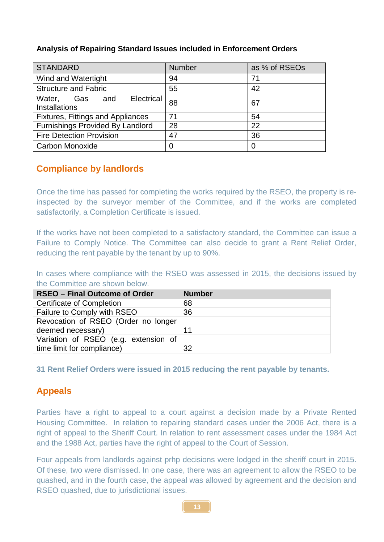| <b>STANDARD</b>                                      | <b>Number</b> | as % of RSEOs |
|------------------------------------------------------|---------------|---------------|
| Wind and Watertight                                  | 94            | 71            |
| <b>Structure and Fabric</b>                          | 55            | 42            |
| Electrical<br>Water, Gas and<br><b>Installations</b> | 88            | 67            |
| <b>Fixtures, Fittings and Appliances</b>             | 71            | 54            |
| <b>Furnishings Provided By Landlord</b>              | 28            | 22            |
| <b>Fire Detection Provision</b>                      | 47            | 36            |
| <b>Carbon Monoxide</b>                               |               | 0             |

#### **Analysis of Repairing Standard Issues included in Enforcement Orders**

#### **Compliance by landlords**

Once the time has passed for completing the works required by the RSEO, the property is reinspected by the surveyor member of the Committee, and if the works are completed satisfactorily, a Completion Certificate is issued.

If the works have not been completed to a satisfactory standard, the Committee can issue a Failure to Comply Notice. The Committee can also decide to grant a Rent Relief Order, reducing the rent payable by the tenant by up to 90%.

In cases where compliance with the RSEO was assessed in 2015, the decisions issued by the Committee are shown below.

| <b>RSEO – Final Outcome of Order</b> | <b>Number</b> |
|--------------------------------------|---------------|
| <b>Certificate of Completion</b>     | 68            |
| Failure to Comply with RSEO          | 36            |
| Revocation of RSEO (Order no longer  |               |
| deemed necessary)                    | 11            |
| Variation of RSEO (e.g. extension of |               |
| time limit for compliance)           | 32            |

**31 Rent Relief Orders were issued in 2015 reducing the rent payable by tenants.**

#### **Appeals**

Parties have a right to appeal to a court against a decision made by a Private Rented Housing Committee. In relation to repairing standard cases under the 2006 Act, there is a right of appeal to the Sheriff Court. In relation to rent assessment cases under the 1984 Act and the 1988 Act, parties have the right of appeal to the Court of Session.

Four appeals from landlords against prhp decisions were lodged in the sheriff court in 2015. Of these, two were dismissed. In one case, there was an agreement to allow the RSEO to be quashed, and in the fourth case, the appeal was allowed by agreement and the decision and RSEO quashed, due to jurisdictional issues.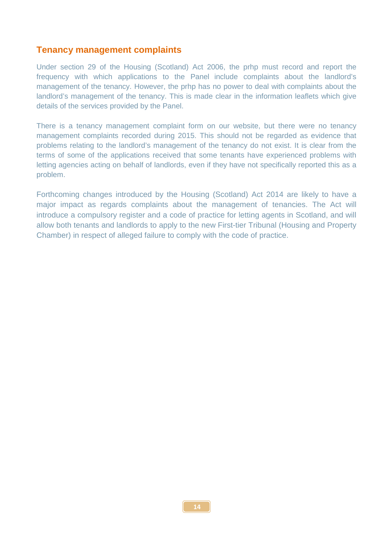#### **Tenancy management complaints**

Under section 29 of the Housing (Scotland) Act 2006, the prhp must record and report the frequency with which applications to the Panel include complaints about the landlord's management of the tenancy. However, the prhp has no power to deal with complaints about the landlord's management of the tenancy. This is made clear in the information leaflets which give details of the services provided by the Panel.

There is a tenancy management complaint form on our website, but there were no tenancy management complaints recorded during 2015. This should not be regarded as evidence that problems relating to the landlord's management of the tenancy do not exist. It is clear from the terms of some of the applications received that some tenants have experienced problems with letting agencies acting on behalf of landlords, even if they have not specifically reported this as a problem.

Forthcoming changes introduced by the Housing (Scotland) Act 2014 are likely to have a major impact as regards complaints about the management of tenancies. The Act will introduce a compulsory register and a code of practice for letting agents in Scotland, and will allow both tenants and landlords to apply to the new First-tier Tribunal (Housing and Property Chamber) in respect of alleged failure to comply with the code of practice.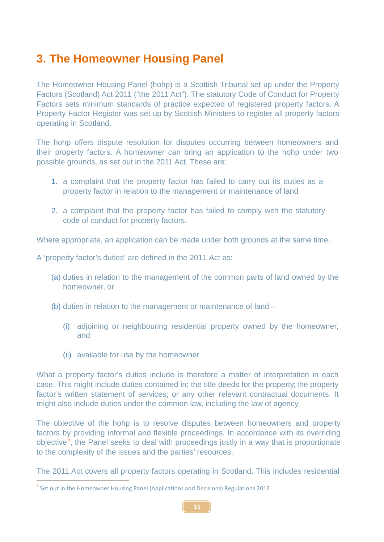## **3. The Homeowner Housing Panel**

The Homeowner Housing Panel (hohp) is a Scottish Tribunal set up under the Property Factors (Scotland) Act 2011 ("the 2011 Act"). The statutory Code of Conduct for Property Factors sets minimum standards of practice expected of registered property factors. A Property Factor Register was set up by Scottish Ministers to register all property factors operating in Scotland.

The hohp offers dispute resolution for disputes occurring between homeowners and their property factors. A homeowner can bring an application to the hohp under two possible grounds, as set out in the 2011 Act. These are:

- 1. a complaint that the property factor has failed to carry out its duties as a property factor in relation to the management or maintenance of land
- 2. a complaint that the property factor has failed to comply with the statutory code of conduct for property factors.

Where appropriate, an application can be made under both grounds at the same time.

A 'property factor's duties' are defined in the 2011 Act as:

- (a) duties in relation to the management of the common parts of land owned by the homeowner, or
- (b) duties in relation to the management or maintenance of land
	- (i) adjoining or neighbouring residential property owned by the homeowner, and
	- (ii) available for use by the homeowner

What a property factor's duties include is therefore a matter of interpretation in each case. This might include duties contained in: the title deeds for the property; the property factor's written statement of services; or any other relevant contractual documents. It might also include duties under the common law, including the law of agency.

The objective of the hohp is to resolve disputes between homeowners and property factors by providing informal and flexible proceedings. In accordance with its overriding objective<sup>[6](#page-17-0)</sup>, the Panel seeks to deal with proceedings justly in a way that is proportionate to the complexity of the issues and the parties' resources.

The 2011 Act covers all property factors operating in Scotland. This includes residential

**.** 

<span id="page-17-0"></span><sup>&</sup>lt;sup>6</sup> Set out in the Homeowner Housing Panel (Applications and Decisions) Regulations 2012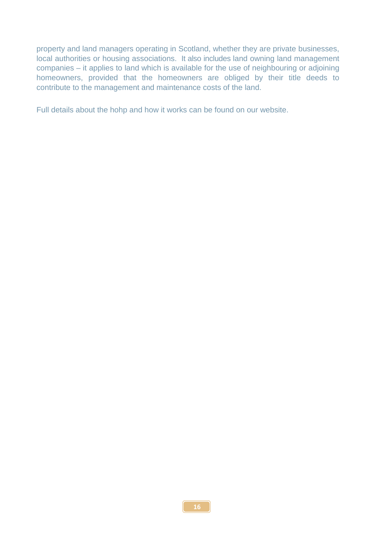property and land managers operating in Scotland, whether they are private businesses, local authorities or housing associations. It also includes land owning land management companies – it applies to land which is available for the use of neighbouring or adjoining homeowners, provided that the homeowners are obliged by their title deeds to contribute to the management and maintenance costs of the land.

Full details about the hohp and how it works can be found on our website.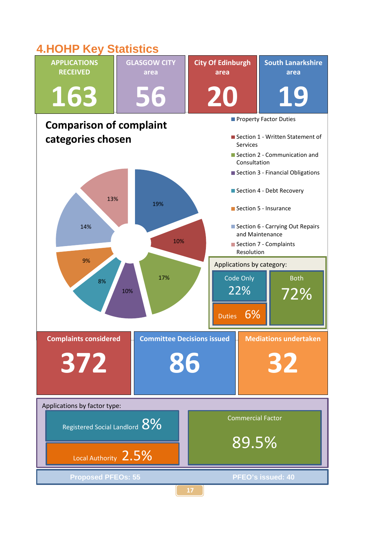## **4.HOHP Key Statistics**

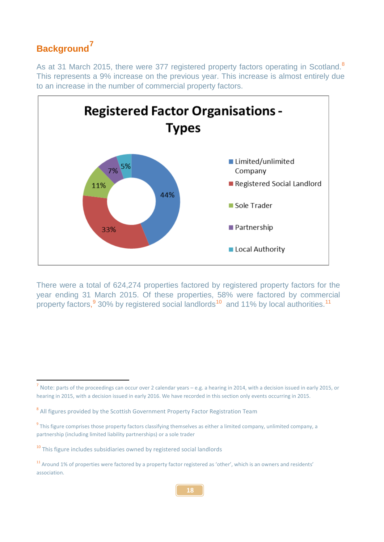## **Background[7](#page-20-0)**

**.** 

As at 31 March 2015, there were 377 registered property factors operating in Scotland.<sup>[8](#page-20-1)</sup> This represents a 9% increase on the previous year. This increase is almost entirely due to an increase in the number of commercial property factors.



There were a total of 624,274 properties factored by registered property factors for the year ending 31 March 2015. Of these properties, 58% were factored by commercial property factors,<sup>[9](#page-20-2)</sup> 30% by registered social landlords<sup>[10](#page-20-3)</sup> and [11](#page-20-4)% by local authorities.<sup>11</sup>

<span id="page-20-0"></span><sup>7</sup> Note: parts of the proceedings can occur over 2 calendar years – e.g. a hearing in 2014, with a decision issued in early 2015, or hearing in 2015, with a decision issued in early 2016. We have recorded in this section only events occurring in 2015.

<span id="page-20-1"></span><sup>&</sup>lt;sup>8</sup> All figures provided by the Scottish Government Property Factor Registration Team

<span id="page-20-2"></span><sup>&</sup>lt;sup>9</sup> This figure comprises those property factors classifying themselves as either a limited company, unlimited company, a partnership (including limited liability partnerships) or a sole trader

<span id="page-20-3"></span><sup>&</sup>lt;sup>10</sup> This figure includes subsidiaries owned by registered social landlords

<span id="page-20-4"></span><sup>11</sup> Around 1% of properties were factored by a property factor registered as 'other', which is an owners and residents' association.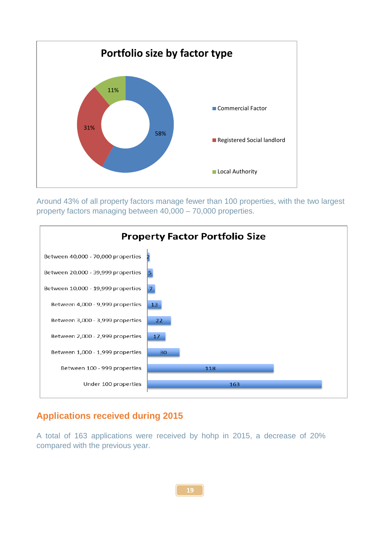![](_page_21_Figure_0.jpeg)

Around 43% of all property factors manage fewer than 100 properties, with the two largest property factors managing between 40,000 – 70,000 properties.

![](_page_21_Figure_2.jpeg)

#### **Applications received during 2015**

A total of 163 applications were received by hohp in 2015, a decrease of 20% compared with the previous year.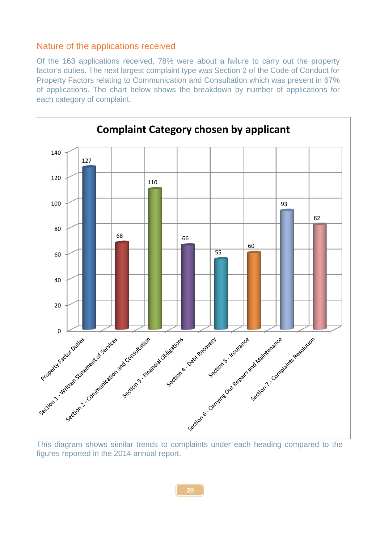#### Nature of the applications received

Of the 163 applications received, 78% were about a failure to carry out the property factor's duties. The next largest complaint type was Section 2 of the Code of Conduct for Property Factors relating to Communication and Consultation which was present in 67% of applications. The chart below shows the breakdown by number of applications for each category of complaint.

![](_page_22_Figure_2.jpeg)

figures reported in the 2014 annual report.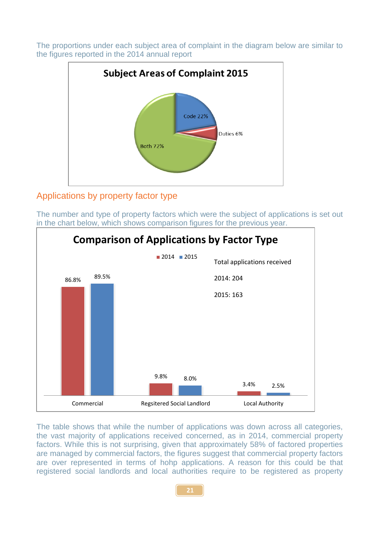The proportions under each subject area of complaint in the diagram below are similar to the figures reported in the 2014 annual report

![](_page_23_Figure_1.jpeg)

#### Applications by property factor type

The number and type of property factors which were the subject of applications is set out in the chart below, which shows comparison figures for the previous year.

![](_page_23_Figure_4.jpeg)

The table shows that while the number of applications was down across all categories, the vast majority of applications received concerned, as in 2014, commercial property factors. While this is not surprising, given that approximately 58% of factored properties are managed by commercial factors, the figures suggest that commercial property factors are over represented in terms of hohp applications. A reason for this could be that registered social landlords and local authorities require to be registered as property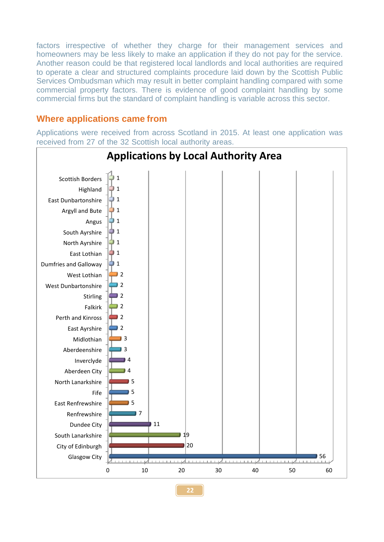factors irrespective of whether they charge for their management services and homeowners may be less likely to make an application if they do not pay for the service. Another reason could be that registered local landlords and local authorities are required to operate a clear and structured complaints procedure laid down by the Scottish Public Services Ombudsman which may result in better complaint handling compared with some commercial property factors. There is evidence of good complaint handling by some commercial firms but the standard of complaint handling is variable across this sector.

#### **Where applications came from**

Applications were received from across Scotland in 2015. At least one application was received from 27 of the 32 Scottish local authority areas.

![](_page_24_Figure_3.jpeg)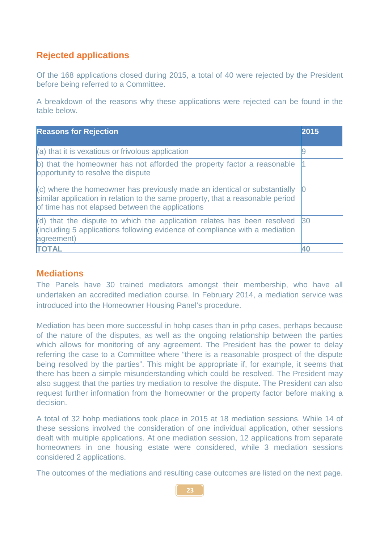#### **Rejected applications**

Of the 168 applications closed during 2015, a total of 40 were rejected by the President before being referred to a Committee.

A breakdown of the reasons why these applications were rejected can be found in the table below.

| <b>Reasons for Rejection</b>                                                                                                                                                                                        | 2015            |
|---------------------------------------------------------------------------------------------------------------------------------------------------------------------------------------------------------------------|-----------------|
| $(a)$ that it is vexatious or frivolous application                                                                                                                                                                 |                 |
| b) that the homeowner has not afforded the property factor a reasonable<br>opportunity to resolve the dispute                                                                                                       |                 |
| $ $ (c) where the homeowner has previously made an identical or substantially<br>similar application in relation to the same property, that a reasonable period<br>of time has not elapsed between the applications |                 |
| $\vert$ (d) that the dispute to which the application relates has been resolved<br>(including 5 applications following evidence of compliance with a mediation<br>agreement)                                        | 30 <sup>°</sup> |
| <b>TOTAL</b>                                                                                                                                                                                                        |                 |

#### **Mediations**

The Panels have 30 trained mediators amongst their membership, who have all undertaken an accredited mediation course. In February 2014, a mediation service was introduced into the Homeowner Housing Panel's procedure.

Mediation has been more successful in hohp cases than in prhp cases, perhaps because of the nature of the disputes, as well as the ongoing relationship between the parties which allows for monitoring of any agreement. The President has the power to delay referring the case to a Committee where "there is a reasonable prospect of the dispute being resolved by the parties". This might be appropriate if, for example, it seems that there has been a simple misunderstanding which could be resolved. The President may also suggest that the parties try mediation to resolve the dispute. The President can also request further information from the homeowner or the property factor before making a decision.

A total of 32 hohp mediations took place in 2015 at 18 mediation sessions. While 14 of these sessions involved the consideration of one individual application, other sessions dealt with multiple applications. At one mediation session, 12 applications from separate homeowners in one housing estate were considered, while 3 mediation sessions considered 2 applications.

The outcomes of the mediations and resulting case outcomes are listed on the next page.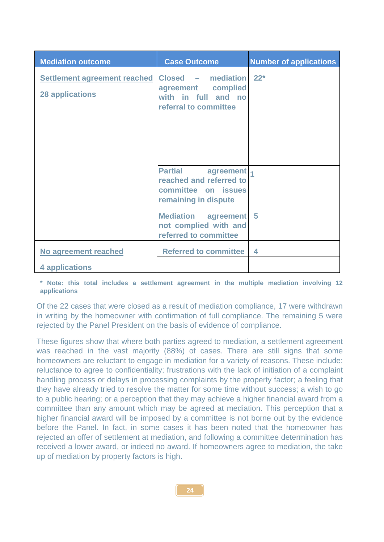| <b>Mediation outcome</b>                                      | <b>Case Outcome</b>                                                                                   | <b>Number of applications</b> |
|---------------------------------------------------------------|-------------------------------------------------------------------------------------------------------|-------------------------------|
| <b>Settlement agreement reached</b><br><b>28 applications</b> | Closed - mediation<br>agreement complied<br>with in full and no<br>referral to committee              | $22*$                         |
|                                                               |                                                                                                       |                               |
|                                                               | <b>Partial</b><br>agreement<br>reached and referred to<br>committee on issues<br>remaining in dispute |                               |
|                                                               | Mediation agreement<br>not complied with and<br>referred to committee                                 | -5                            |
| No agreement reached                                          | <b>Referred to committee</b>                                                                          | 4                             |
| 4 applications                                                |                                                                                                       |                               |

**\* Note: this total includes a settlement agreement in the multiple mediation involving 12 applications**

Of the 22 cases that were closed as a result of mediation compliance, 17 were withdrawn in writing by the homeowner with confirmation of full compliance. The remaining 5 were rejected by the Panel President on the basis of evidence of compliance.

These figures show that where both parties agreed to mediation, a settlement agreement was reached in the vast majority (88%) of cases. There are still signs that some homeowners are reluctant to engage in mediation for a variety of reasons. These include: reluctance to agree to confidentiality; frustrations with the lack of initiation of a complaint handling process or delays in processing complaints by the property factor; a feeling that they have already tried to resolve the matter for some time without success; a wish to go to a public hearing; or a perception that they may achieve a higher financial award from a committee than any amount which may be agreed at mediation. This perception that a higher financial award will be imposed by a committee is not borne out by the evidence before the Panel. In fact, in some cases it has been noted that the homeowner has rejected an offer of settlement at mediation, and following a committee determination has received a lower award, or indeed no award. If homeowners agree to mediation, the take up of mediation by property factors is high.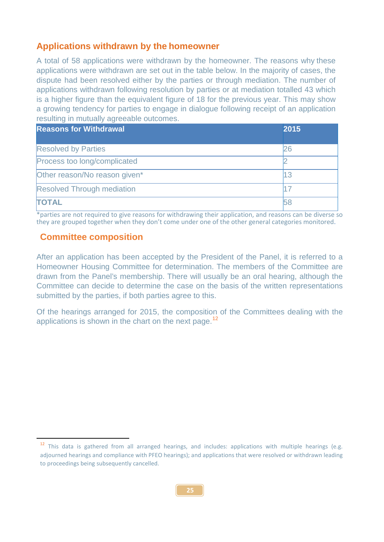#### **Applications withdrawn by the homeowner**

A total of 58 applications were withdrawn by the homeowner. The reasons why these applications were withdrawn are set out in the table below. In the majority of cases, the dispute had been resolved either by the parties or through mediation. The number of applications withdrawn following resolution by parties or at mediation totalled 43 which is a higher figure than the equivalent figure of 18 for the previous year. This may show a growing tendency for parties to engage in dialogue following receipt of an application resulting in mutually agreeable outcomes.

| <b>Reasons for Withdrawal</b>     | 2015 |
|-----------------------------------|------|
| <b>Resolved by Parties</b>        | 26   |
| Process too long/complicated      |      |
| Other reason/No reason given*     | 13   |
| <b>Resolved Through mediation</b> |      |
| <b>TOTAL</b>                      |      |

\*parties are not required to give reasons for withdrawing their application, and reasons can be diverse so they are grouped together when they don't come under one of the other general categories monitored.

#### **Committee composition**

<span id="page-27-0"></span>**.** 

After an application has been accepted by the President of the Panel, it is referred to a Homeowner Housing Committee for determination. The members of the Committee are drawn from the Panel's membership. There will usually be an oral hearing, although the Committee can decide to determine the case on the basis of the written representations submitted by the parties, if both parties agree to this.

Of the hearings arranged for 2015, the composition of the Committees dealing with the applications is shown in the chart on the next page.<sup>[12](#page-27-0)</sup>

<sup>&</sup>lt;sup>12</sup> This data is gathered from all arranged hearings, and includes: applications with multiple hearings (e.g. adjourned hearings and compliance with PFEO hearings); and applications that were resolved or withdrawn leading to proceedings being subsequently cancelled.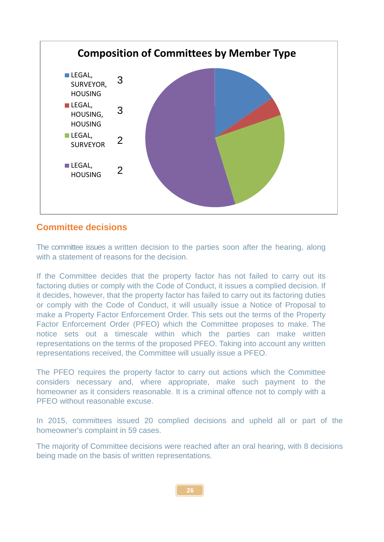![](_page_28_Figure_0.jpeg)

#### **Committee decisions**

The committee issues a written decision to the parties soon after the hearing, along with a statement of reasons for the decision.

If the Committee decides that the property factor has not failed to carry out its factoring duties or comply with the Code of Conduct, it issues a complied decision. If it decides, however, that the property factor has failed to carry out its factoring duties or comply with the Code of Conduct, it will usually issue a Notice of Proposal to make a Property Factor Enforcement Order. This sets out the terms of the Property Factor Enforcement Order (PFEO) which the Committee proposes to make. The notice sets out a timescale within which the parties can make written representations on the terms of the proposed PFEO. Taking into account any written representations received, the Committee will usually issue a PFEO.

The PFEO requires the property factor to carry out actions which the Committee considers necessary and, where appropriate, make such payment to the homeowner as it considers reasonable. It is a criminal offence not to comply with a PFFO without reasonable excuse.

In 2015, committees issued 20 complied decisions and upheld all or part of the homeowner's complaint in 59 cases.

The majority of Committee decisions were reached after an oral hearing, with 8 decisions being made on the basis of written representations.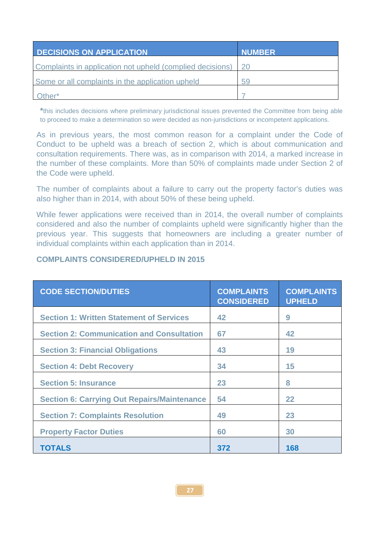| <b>DECISIONS ON APPLICATION</b>                           | <b>NUMBER</b> |
|-----------------------------------------------------------|---------------|
| Complaints in application not upheld (complied decisions) |               |
| Some or all complaints in the application upheld          | 59            |
| Other*                                                    |               |

**\***this includes decisions where preliminary jurisdictional issues prevented the Committee from being able to proceed to make a determination so were decided as non-jurisdictions or incompetent applications.

As in previous years, the most common reason for a complaint under the Code of Conduct to be upheld was a breach of section 2, which is about communication and consultation requirements. There was, as in comparison with 2014, a marked increase in the number of these complaints. More than 50% of complaints made under Section 2 of the Code were upheld.

The number of complaints about a failure to carry out the property factor's duties was also higher than in 2014, with about 50% of these being upheld.

While fewer applications were received than in 2014, the overall number of complaints considered and also the number of complaints upheld were significantly higher than the previous year. This suggests that homeowners are including a greater number of individual complaints within each application than in 2014.

#### **COMPLAINTS CONSIDERED/UPHELD IN 2015**

| <b>CODE SECTION/DUTIES</b>                         | <b>COMPLAINTS</b><br><b>CONSIDERED</b> | <b>COMPLAINTS</b><br><b>UPHELD</b> |
|----------------------------------------------------|----------------------------------------|------------------------------------|
| <b>Section 1: Written Statement of Services</b>    | 42                                     | 9                                  |
| <b>Section 2: Communication and Consultation</b>   | 67                                     | 42                                 |
| <b>Section 3: Financial Obligations</b>            | 43                                     | 19                                 |
| <b>Section 4: Debt Recovery</b>                    | 34                                     | 15                                 |
| <b>Section 5: Insurance</b>                        | 23                                     | 8                                  |
| <b>Section 6: Carrying Out Repairs/Maintenance</b> | 54                                     | 22                                 |
| <b>Section 7: Complaints Resolution</b>            | 49                                     | 23                                 |
| <b>Property Factor Duties</b>                      | 60                                     | 30                                 |
| <b>TOTALS</b>                                      | 372                                    | 168                                |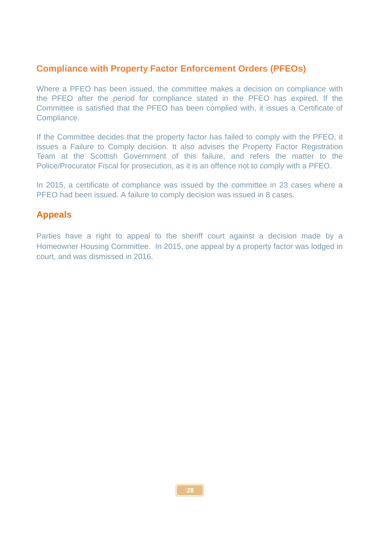#### **Compliance with Property Factor Enforcement Orders (PFEOs)**

Where a PFEO has been issued, the committee makes a decision on compliance with the PFEO after the period for compliance stated in the PFEO has expired. If the Committee is satisfied that the PFEO has been complied with, it issues a Certificate of Compliance.

If the Committee decides that the property factor has failed to comply with the PFEO, it issues a Failure to Comply decision. It also advises the Property Factor Registration Team at the Scottish Government of this failure, and refers the matter to the Police/Procurator Fiscal for prosecution, as it is an offence not to comply with a PFEO.

In 2015, a certificate of compliance was issued by the committee in 23 cases where a PFEO had been issued. A failure to comply decision was issued in 8 cases.

#### **Appeals**

Parties have a right to appeal to the sheriff court against a decision made by a Homeowner Housing Committee. In 2015, one appeal by a property factor was lodged in court, and was dismissed in 2016.